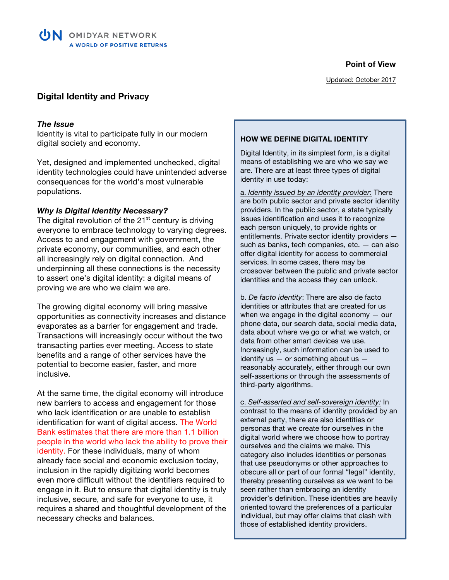**Point of View**

# **Digital Identity and Privacy**

#### *The Issue*

Identity is vital to participate fully in our modern digital society and economy.

Yet, designed and implemented unchecked, digital identity technologies could have unintended adverse consequences for the world's most vulnerable populations.

#### *Why Is Digital Identity Necessary?*

The digital revolution of the  $21<sup>st</sup>$  century is driving everyone to embrace technology to varying degrees. Access to and engagement with government, the private economy, our communities, and each other all increasingly rely on digital connection. And underpinning all these connections is the necessity to assert one's digital identity: a digital means of proving we are who we claim we are.

The growing digital economy will bring massive opportunities as connectivity increases and distance evaporates as a barrier for engagement and trade. Transactions will increasingly occur without the two transacting parties ever meeting. Access to state benefits and a range of other services have the potential to become easier, faster, and more inclusive.

At the same time, the digital economy will introduce new barriers to access and engagement for those who lack identification or are unable to establish identification for want of digital access. The World Bank estimates that there are more than 1.1 billion people in the world who lack the ability to prove their identity. For these individuals, many of whom already face social and economic exclusion today, inclusion in the rapidly digitizing world becomes even more difficult without the identifiers required to engage in it. But to ensure that digital identity is truly inclusive, secure, and safe for everyone to use, it requires a shared and thoughtful development of the necessary checks and balances.

#### **HOW WE DEFINE DIGITAL IDENTITY**

Digital Identity, in its simplest form, is a digital means of establishing we are who we say we are. There are at least three types of digital identity in use today:

a. *Identity issued by an identity provider*: There are both public sector and private sector identity providers. In the public sector, a state typically issues identification and uses it to recognize each person uniquely, to provide rights or entitlements. Private sector identity providers such as banks, tech companies, etc. — can also offer digital identity for access to commercial services. In some cases, there may be crossover between the public and private sector identities and the access they can unlock.

b. *De facto identity*: There are also de facto identities or attributes that are created for us when we engage in the digital economy  $-$  our phone data, our search data, social media data, data about where we go or what we watch, or data from other smart devices we use. Increasingly, such information can be used to identify us  $-$  or something about us  $$ reasonably accurately, either through our own self-assertions or through the assessments of third-party algorithms.

c. *Self-asserted and self-sovereign identity:* In contrast to the means of identity provided by an external party, there are also identities or personas that we create for ourselves in the digital world where we choose how to portray ourselves and the claims we make. This category also includes identities or personas that use pseudonyms or other approaches to obscure all or part of our formal "legal" identity, thereby presenting ourselves as we want to be seen rather than embracing an identity provider's definition. These identities are heavily oriented toward the preferences of a particular individual, but may offer claims that clash with those of established identity providers.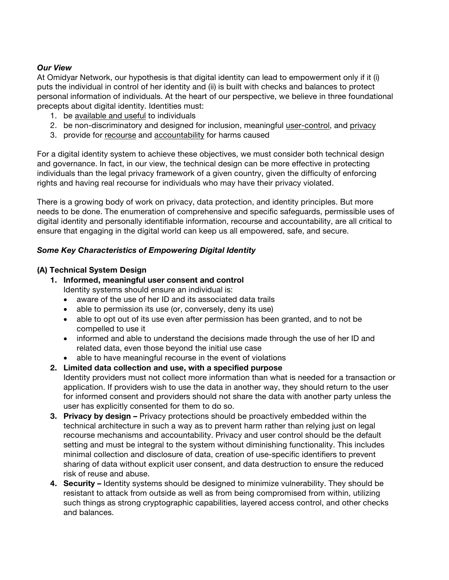## *Our View*

At Omidyar Network, our hypothesis is that digital identity can lead to empowerment only if it (i) puts the individual in control of her identity and (ii) is built with checks and balances to protect personal information of individuals. At the heart of our perspective, we believe in three foundational precepts about digital identity. Identities must:

- 1. be available and useful to individuals
- 2. be non-discriminatory and designed for inclusion, meaningful user-control, and privacy
- 3. provide for recourse and accountability for harms caused

For a digital identity system to achieve these objectives, we must consider both technical design and governance. In fact, in our view, the technical design can be more effective in protecting individuals than the legal privacy framework of a given country, given the difficulty of enforcing rights and having real recourse for individuals who may have their privacy violated.

There is a growing body of work on privacy, data protection, and identity principles. But more needs to be done. The enumeration of comprehensive and specific safeguards, permissible uses of digital identity and personally identifiable information, recourse and accountability, are all critical to ensure that engaging in the digital world can keep us all empowered, safe, and secure.

## *Some Key Characteristics of Empowering Digital Identity*

## **(A) Technical System Design**

- **1. Informed, meaningful user consent and control**  Identity systems should ensure an individual is:
	- aware of the use of her ID and its associated data trails
	- able to permission its use (or, conversely, deny its use)
	- able to opt out of its use even after permission has been granted, and to not be compelled to use it
	- informed and able to understand the decisions made through the use of her ID and related data, even those beyond the initial use case
	- able to have meaningful recourse in the event of violations
- **2. Limited data collection and use, with a specified purpose**  Identity providers must not collect more information than what is needed for a transaction or application. If providers wish to use the data in another way, they should return to the user for informed consent and providers should not share the data with another party unless the user has explicitly consented for them to do so.
- **3. Privacy by design –** Privacy protections should be proactively embedded within the technical architecture in such a way as to prevent harm rather than relying just on legal recourse mechanisms and accountability. Privacy and user control should be the default setting and must be integral to the system without diminishing functionality. This includes minimal collection and disclosure of data, creation of use-specific identifiers to prevent sharing of data without explicit user consent, and data destruction to ensure the reduced risk of reuse and abuse.
- **4. Security –** Identity systems should be designed to minimize vulnerability. They should be resistant to attack from outside as well as from being compromised from within, utilizing such things as strong cryptographic capabilities, layered access control, and other checks and balances.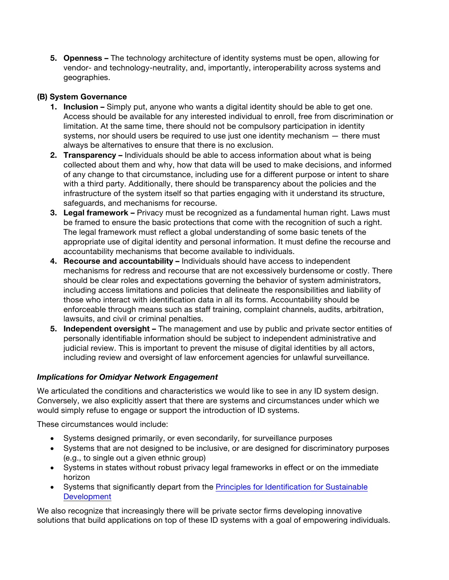**5. Openness –** The technology architecture of identity systems must be open, allowing for vendor- and technology-neutrality, and, importantly, interoperability across systems and geographies.

# **(B) System Governance**

- **1. Inclusion** Simply put, anyone who wants a digital identity should be able to get one. Access should be available for any interested individual to enroll, free from discrimination or limitation. At the same time, there should not be compulsory participation in identity systems, nor should users be required to use just one identity mechanism — there must always be alternatives to ensure that there is no exclusion.
- **2. Transparency** Individuals should be able to access information about what is being collected about them and why, how that data will be used to make decisions, and informed of any change to that circumstance, including use for a different purpose or intent to share with a third party. Additionally, there should be transparency about the policies and the infrastructure of the system itself so that parties engaging with it understand its structure, safeguards, and mechanisms for recourse.
- **3. Legal framework –** Privacy must be recognized as a fundamental human right. Laws must be framed to ensure the basic protections that come with the recognition of such a right. The legal framework must reflect a global understanding of some basic tenets of the appropriate use of digital identity and personal information. It must define the recourse and accountability mechanisms that become available to individuals.
- **4. Recourse and accountability –** Individuals should have access to independent mechanisms for redress and recourse that are not excessively burdensome or costly. There should be clear roles and expectations governing the behavior of system administrators, including access limitations and policies that delineate the responsibilities and liability of those who interact with identification data in all its forms. Accountability should be enforceable through means such as staff training, complaint channels, audits, arbitration, lawsuits, and civil or criminal penalties.
- **5. Independent oversight –** The management and use by public and private sector entities of personally identifiable information should be subject to independent administrative and judicial review. This is important to prevent the misuse of digital identities by all actors, including review and oversight of law enforcement agencies for unlawful surveillance.

# *Implications for Omidyar Network Engagement*

We articulated the conditions and characteristics we would like to see in any ID system design. Conversely, we also explicitly assert that there are systems and circumstances under which we would simply refuse to engage or support the introduction of ID systems.

These circumstances would include:

- Systems designed primarily, or even secondarily, for surveillance purposes
- Systems that are not designed to be inclusive, or are designed for discriminatory purposes (e.g., to single out a given ethnic group)
- Systems in states without robust privacy legal frameworks in effect or on the immediate horizon
- Systems that significantly depart from the **Principles for Identification for Sustainable** Development

We also recognize that increasingly there will be private sector firms developing innovative solutions that build applications on top of these ID systems with a goal of empowering individuals.